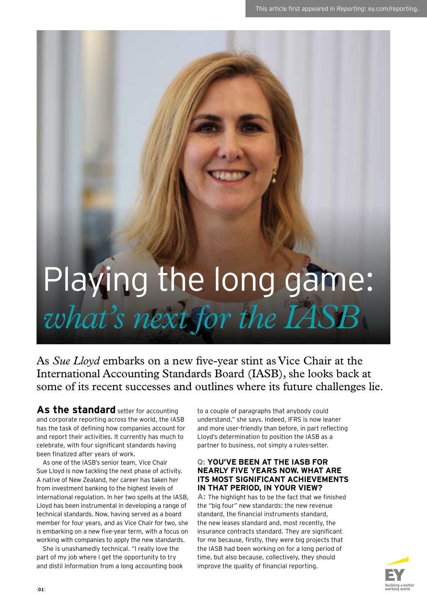# Playing the long game: *what's next for the IASB*

As *Sue Lloyd* embarks on a new five-year stint as Vice Chair at the International Accounting Standards Board (IASB), she looks back at some of its recent successes and outlines where its future challenges lie.

**As the standard** setter for accounting and corporate reporting across the world, the IASB has the task of defining how companies account for and report their activities. It currently has much to celebrate, with four significant standards having been finalized after years of work.

As one of the IASB's senior team, Vice Chair Sue Lloyd is now tackling the next phase of activity. A native of New Zealand, her career has taken her from investment banking to the highest levels of international regulation. In her two spells at the IASB, Lloyd has been instrumental in developing a range of technical standards. Now, having served as a board member for four years, and as Vice Chair for two, she is embarking on a new five-year term, with a focus on working with companies to apply the new standards.

She is unashamedly technical. "I really love the part of my job where I get the opportunity to try and distil information from a long accounting book to a couple of paragraphs that anybody could understand," she says. Indeed, IFRS is now leaner and more user-friendly than before, in part reflecting Lloyd's determination to position the IASB as a partner to business, not simply a rules-setter.

## **Q: YOU'VE BEEN AT THE IASB FOR NEARLY FIVE YEARS NOW. WHAT ARE ITS MOST SIGNIFICANT ACHIEVEMENTS IN THAT PERIOD, IN YOUR VIEW?**

**A:** The highlight has to be the fact that we finished the "big four" new standards: the new revenue standard, the financial instruments standard, the new leases standard and, most recently, the insurance contracts standard. They are significant for me because, firstly, they were big projects that the IASB had been working on for a long period of time, but also because, collectively, they should improve the quality of financial reporting.

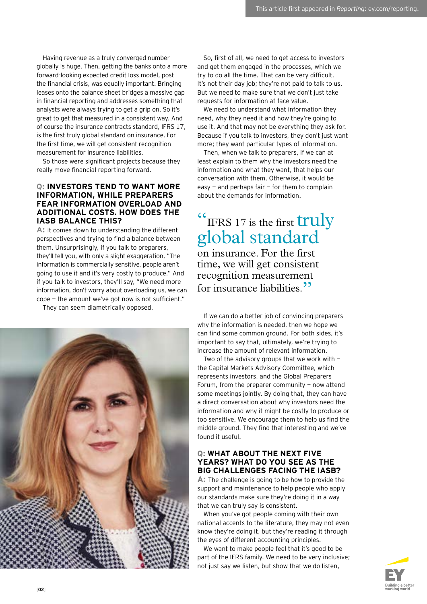Having revenue as a truly converged number globally is huge. Then, getting the banks onto a more forward-looking expected credit loss model, post the financial crisis, was equally important. Bringing leases onto the balance sheet bridges a massive gap in financial reporting and addresses something that analysts were always trying to get a grip on. So it's great to get that measured in a consistent way. And of course the insurance contracts standard, IFRS 17, is the first truly global standard on insurance. For the first time, we will get consistent recognition measurement for insurance liabilities.

So those were significant projects because they really move financial reporting forward.

#### **Q: INVESTORS TEND TO WANT MORE INFORMATION, WHILE PREPARERS FEAR INFORMATION OVERLOAD AND ADDITIONAL COSTS. HOW DOES THE IASB BALANCE THIS?**

**A:** It comes down to understanding the different perspectives and trying to find a balance between them. Unsurprisingly, if you talk to preparers, they'll tell you, with only a slight exaggeration, "The information is commercially sensitive, people aren't going to use it and it's very costly to produce." And if you talk to investors, they'll say, "We need more information, don't worry about overloading us, we can cope — the amount we've got now is not sufficient."

They can seem diametrically opposed.



So, first of all, we need to get access to investors and get them engaged in the processes, which we try to do all the time. That can be very difficult. It's not their day job; they're not paid to talk to us. But we need to make sure that we don't just take requests for information at face value.

We need to understand what information they need, why they need it and how they're going to use it. And that may not be everything they ask for. Because if you talk to investors, they don't just want more; they want particular types of information.

Then, when we talk to preparers, if we can at least explain to them why the investors need the information and what they want, that helps our conversation with them. Otherwise, it would be easy — and perhaps fair — for them to complain about the demands for information.

# <sup>"</sup> IFRS 17 is the first **truly** global standard on insurance. For the first time, we will get consistent recognition measurement for insurance liabilities.<sup>22</sup>

If we can do a better job of convincing preparers why the information is needed, then we hope we can find some common ground. For both sides, it's important to say that, ultimately, we're trying to increase the amount of relevant information.

Two of the advisory groups that we work with  $$ the Capital Markets Advisory Committee, which represents investors, and the Global Preparers Forum, from the preparer community  $-$  now attend some meetings jointly. By doing that, they can have a direct conversation about why investors need the information and why it might be costly to produce or too sensitive. We encourage them to help us find the middle ground. They find that interesting and we've found it useful.

#### **Q: WHAT ABOUT THE NEXT FIVE YEARS? WHAT DO YOU SEE AS THE BIG CHALLENGES FACING THE IASB?**

**A:** The challenge is going to be how to provide the support and maintenance to help people who apply our standards make sure they're doing it in a way that we can truly say is consistent.

When you've got people coming with their own national accents to the literature, they may not even know they're doing it, but they're reading it through the eyes of different accounting principles.

We want to make people feel that it's good to be part of the IFRS family. We need to be very inclusive; not just say we listen, but show that we do listen.

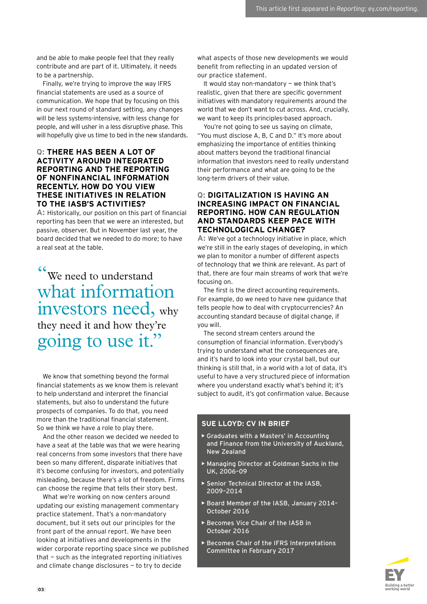and be able to make people feel that they really contribute and are part of it. Ultimately, it needs to be a partnership.

Finally, we're trying to improve the way IFRS financial statements are used as a source of communication. We hope that by focusing on this in our next round of standard setting, any changes will be less systems-intensive, with less change for people, and will usher in a less disruptive phase. This will hopefully give us time to bed in the new standards.

#### **Q: THERE HAS BEEN A LOT OF ACTIVITY AROUND INTEGRATED REPORTING AND THE REPORTING OF NONFINANCIAL INFORMATION RECENTLY. HOW DO YOU VIEW THESE INITIATIVES IN RELATION TO THE IASB'S ACTIVITIES?**

**A:** Historically, our position on this part of financial reporting has been that we were an interested, but passive, observer. But in November last year, the board decided that we needed to do more; to have a real seat at the table.

" We need to understand what information investors need, why they need it and how they're going to use it."

We know that something beyond the formal financial statements as we know them is relevant to help understand and interpret the financial statements, but also to understand the future prospects of companies. To do that, you need more than the traditional financial statement. So we think we have a role to play there.

And the other reason we decided we needed to have a seat at the table was that we were hearing real concerns from some investors that there have been so many different, disparate initiatives that it's become confusing for investors, and potentially misleading, because there's a lot of freedom. Firms can choose the regime that tells their story best.

What we're working on now centers around updating our existing management commentary practice statement. That's a non-mandatory document, but it sets out our principles for the front part of the annual report. We have been looking at initiatives and developments in the wider corporate reporting space since we published that — such as the integrated reporting initiatives and climate change disclosures — to try to decide

what aspects of those new developments we would benefit from reflecting in an updated version of our practice statement.

It would stay non-mandatory — we think that's realistic, given that there are specific government initiatives with mandatory requirements around the world that we don't want to cut across. And, crucially, we want to keep its principles-based approach.

You're not going to see us saying on climate, "You must disclose A, B, C and D." It's more about emphasizing the importance of entities thinking about matters beyond the traditional financial information that investors need to really understand their performance and what are going to be the long-term drivers of their value.

## **Q: DIGITALIZATION IS HAVING AN INCREASING IMPACT ON FINANCIAL REPORTING. HOW CAN REGULATION AND STANDARDS KEEP PACE WITH TECHNOLOGICAL CHANGE?**

**A:** We've got a technology initiative in place, which we're still in the early stages of developing, in which we plan to monitor a number of different aspects of technology that we think are relevant. As part of that, there are four main streams of work that we're focusing on.

The first is the direct accounting requirements. For example, do we need to have new guidance that tells people how to deal with cryptocurrencies? An accounting standard because of digital change, if you will.

The second stream centers around the consumption of financial information. Everybody's trying to understand what the consequences are, and it's hard to look into your crystal ball, but our thinking is still that, in a world with a lot of data, it's useful to have a very structured piece of information where you understand exactly what's behind it; it's subject to audit, it's got confirmation value. Because

# **SUE LLOYD: CV IN BRIEF**

- **•** Graduates with a Masters' in Accounting and Finance from the University of Auckland, New Zealand
- **•** Managing Director at Goldman Sachs in the UK, 2006–09
- **•** Senior Technical Director at the IASB, 2009–2014
- **•** Board Member of the IASB, January 2014– October 2016
- **•** Becomes Vice Chair of the IASB in October 2016
- **•** Becomes Chair of the IFRS Interpretations Committee in February 2017

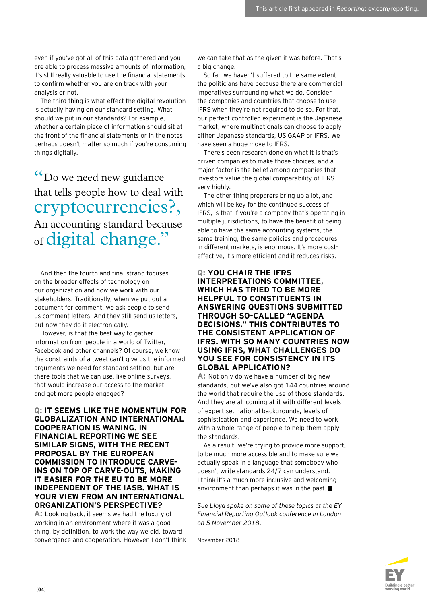even if you've got all of this data gathered and you are able to process massive amounts of information, it's still really valuable to use the financial statements to confirm whether you are on track with your analysis or not.

The third thing is what effect the digital revolution is actually having on our standard setting. What should we put in our standards? For example, whether a certain piece of information should sit at the front of the financial statements or in the notes perhaps doesn't matter so much if you're consuming things digitally.

"Do we need new guidance that tells people how to deal with cryptocurrencies?, An accounting standard because of digital change."

And then the fourth and final strand focuses on the broader effects of technology on our organization and how we work with our stakeholders. Traditionally, when we put out a document for comment, we ask people to send us comment letters. And they still send us letters, but now they do it electronically.

However, is that the best way to gather information from people in a world of Twitter, Facebook and other channels? Of course, we know the constraints of a tweet can't give us the informed arguments we need for standard setting, but are there tools that we can use, like online surveys, that would increase our access to the market and get more people engaged?

#### **Q: IT SEEMS LIKE THE MOMENTUM FOR GLOBALIZATION AND INTERNATIONAL COOPERATION IS WANING. IN FINANCIAL REPORTING WE SEE SIMILAR SIGNS, WITH THE RECENT PROPOSAL BY THE EUROPEAN COMMISSION TO INTRODUCE CARVE-INS ON TOP OF CARVE-OUTS, MAKING IT EASIER FOR THE EU TO BE MORE INDEPENDENT OF THE IASB. WHAT IS YOUR VIEW FROM AN INTERNATIONAL ORGANIZATION'S PERSPECTIVE?**

**A:** Looking back, it seems we had the luxury of working in an environment where it was a good thing, by definition, to work the way we did, toward convergence and cooperation. However, I don't think

we can take that as the given it was before. That's a big change.

So far, we haven't suffered to the same extent the politicians have because there are commercial imperatives surrounding what we do. Consider the companies and countries that choose to use IFRS when they're not required to do so. For that, our perfect controlled experiment is the Japanese market, where multinationals can choose to apply either Japanese standards, US GAAP or IFRS. We have seen a huge move to IFRS.

There's been research done on what it is that's driven companies to make those choices, and a major factor is the belief among companies that investors value the global comparability of IFRS very highly.

The other thing preparers bring up a lot, and which will be key for the continued success of IFRS, is that if you're a company that's operating in multiple jurisdictions, to have the benefit of being able to have the same accounting systems, the same training, the same policies and procedures in different markets, is enormous. It's more costeffective, it's more efficient and it reduces risks.

#### **Q: YOU CHAIR THE IFRS INTERPRETATIONS COMMITTEE, WHICH HAS TRIED TO BE MORE HELPFUL TO CONSTITUENTS IN ANSWERING QUESTIONS SUBMITTED THROUGH SO-CALLED "AGENDA DECISIONS." THIS CONTRIBUTES TO THE CONSISTENT APPLICATION OF IFRS. WITH SO MANY COUNTRIES NOW USING IFRS, WHAT CHALLENGES DO YOU SEE FOR CONSISTENCY IN ITS GLOBAL APPLICATION?**

**A:** Not only do we have a number of big new standards, but we've also got 144 countries around the world that require the use of those standards. And they are all coming at it with different levels of expertise, national backgrounds, levels of sophistication and experience. We need to work with a whole range of people to help them apply the standards.

As a result, we're trying to provide more support, to be much more accessible and to make sure we actually speak in a language that somebody who doesn't write standards 24/7 can understand. I think it's a much more inclusive and welcoming environment than perhaps it was in the past.

*Sue Lloyd spoke on some of these topics at the EY Financial Reporting Outlook conference in London on 5 November 2018*.

November 2018